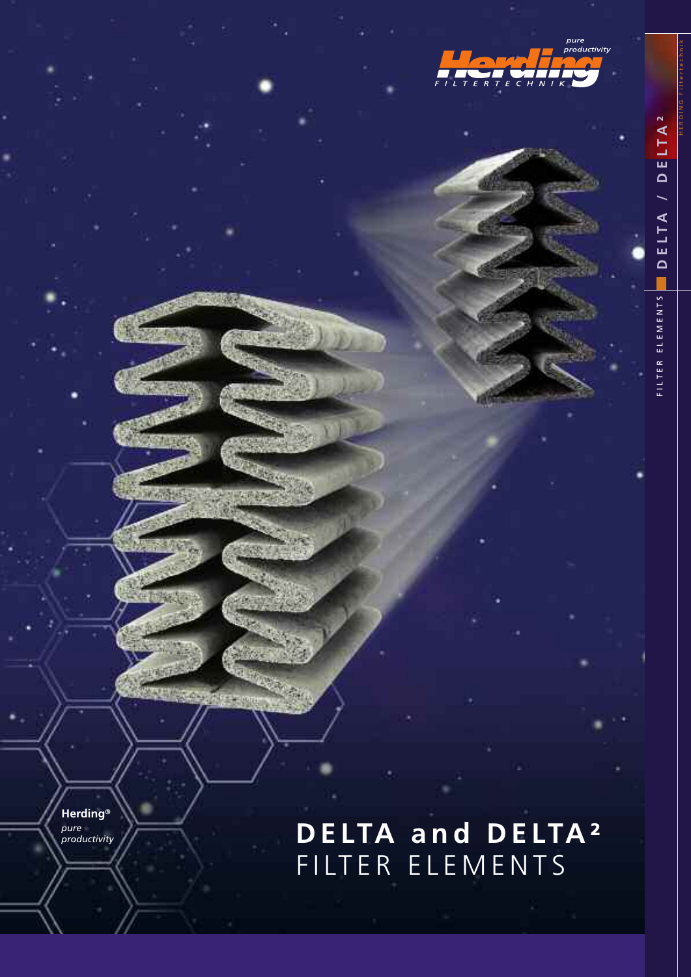

FILTER ELEMENTS